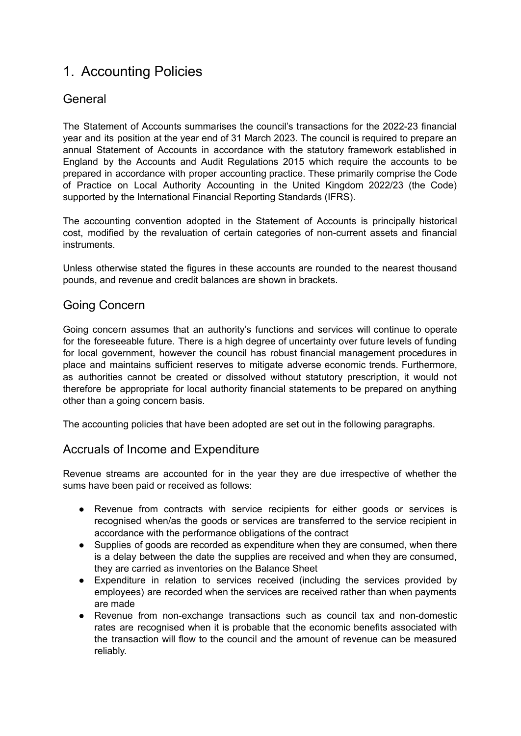# 1. Accounting Policies

## **General**

The Statement of Accounts summarises the council's transactions for the 2022-23 financial year and its position at the year end of 31 March 2023. The council is required to prepare an annual Statement of Accounts in accordance with the statutory framework established in England by the Accounts and Audit Regulations 2015 which require the accounts to be prepared in accordance with proper accounting practice. These primarily comprise the Code of Practice on Local Authority Accounting in the United Kingdom 2022/23 (the Code) supported by the International Financial Reporting Standards (IFRS).

The accounting convention adopted in the Statement of Accounts is principally historical cost, modified by the revaluation of certain categories of non-current assets and financial instruments.

Unless otherwise stated the figures in these accounts are rounded to the nearest thousand pounds, and revenue and credit balances are shown in brackets.

## Going Concern

Going concern assumes that an authority's functions and services will continue to operate for the foreseeable future. There is a high degree of uncertainty over future levels of funding for local government, however the council has robust financial management procedures in place and maintains sufficient reserves to mitigate adverse economic trends. Furthermore, as authorities cannot be created or dissolved without statutory prescription, it would not therefore be appropriate for local authority financial statements to be prepared on anything other than a going concern basis.

The accounting policies that have been adopted are set out in the following paragraphs.

## Accruals of Income and Expenditure

Revenue streams are accounted for in the year they are due irrespective of whether the sums have been paid or received as follows:

- Revenue from contracts with service recipients for either goods or services is recognised when/as the goods or services are transferred to the service recipient in accordance with the performance obligations of the contract
- Supplies of goods are recorded as expenditure when they are consumed, when there is a delay between the date the supplies are received and when they are consumed, they are carried as inventories on the Balance Sheet
- Expenditure in relation to services received (including the services provided by employees) are recorded when the services are received rather than when payments are made
- Revenue from non-exchange transactions such as council tax and non-domestic rates are recognised when it is probable that the economic benefits associated with the transaction will flow to the council and the amount of revenue can be measured reliably.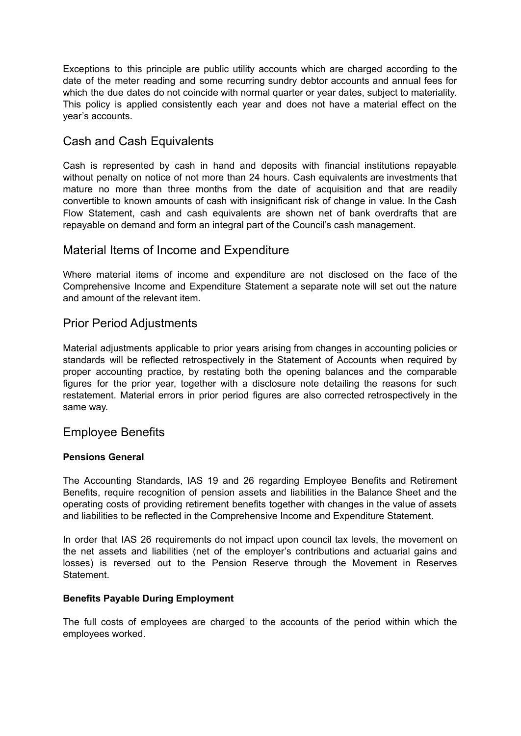Exceptions to this principle are public utility accounts which are charged according to the date of the meter reading and some recurring sundry debtor accounts and annual fees for which the due dates do not coincide with normal quarter or year dates, subject to materiality. This policy is applied consistently each year and does not have a material effect on the year's accounts.

## Cash and Cash Equivalents

Cash is represented by cash in hand and deposits with financial institutions repayable without penalty on notice of not more than 24 hours. Cash equivalents are investments that mature no more than three months from the date of acquisition and that are readily convertible to known amounts of cash with insignificant risk of change in value. In the Cash Flow Statement, cash and cash equivalents are shown net of bank overdrafts that are repayable on demand and form an integral part of the Council's cash management.

### Material Items of Income and Expenditure

Where material items of income and expenditure are not disclosed on the face of the Comprehensive Income and Expenditure Statement a separate note will set out the nature and amount of the relevant item.

### Prior Period Adjustments

Material adjustments applicable to prior years arising from changes in accounting policies or standards will be reflected retrospectively in the Statement of Accounts when required by proper accounting practice, by restating both the opening balances and the comparable figures for the prior year, together with a disclosure note detailing the reasons for such restatement. Material errors in prior period figures are also corrected retrospectively in the same way.

### Employee Benefits

#### **Pensions General**

The Accounting Standards, IAS 19 and 26 regarding Employee Benefits and Retirement Benefits, require recognition of pension assets and liabilities in the Balance Sheet and the operating costs of providing retirement benefits together with changes in the value of assets and liabilities to be reflected in the Comprehensive Income and Expenditure Statement.

In order that IAS 26 requirements do not impact upon council tax levels, the movement on the net assets and liabilities (net of the employer's contributions and actuarial gains and losses) is reversed out to the Pension Reserve through the Movement in Reserves Statement.

#### **Benefits Payable During Employment**

The full costs of employees are charged to the accounts of the period within which the employees worked.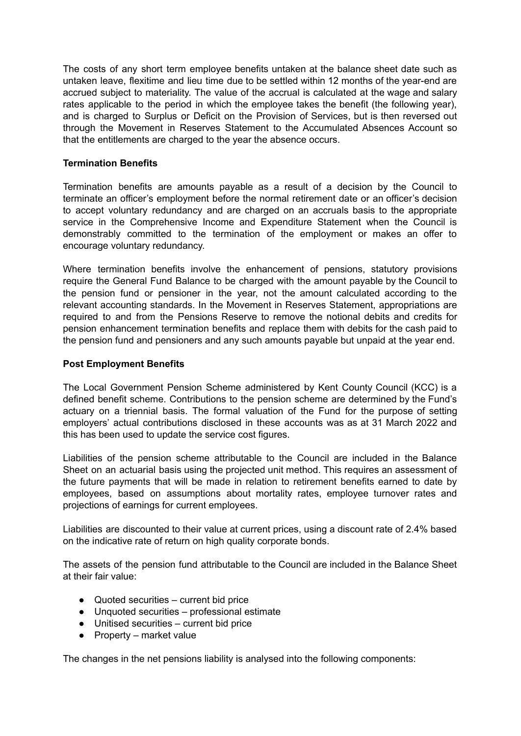The costs of any short term employee benefits untaken at the balance sheet date such as untaken leave, flexitime and lieu time due to be settled within 12 months of the year-end are accrued subject to materiality. The value of the accrual is calculated at the wage and salary rates applicable to the period in which the employee takes the benefit (the following year), and is charged to Surplus or Deficit on the Provision of Services, but is then reversed out through the Movement in Reserves Statement to the Accumulated Absences Account so that the entitlements are charged to the year the absence occurs.

#### **Termination Benefits**

Termination benefits are amounts payable as a result of a decision by the Council to terminate an officer's employment before the normal retirement date or an officer's decision to accept voluntary redundancy and are charged on an accruals basis to the appropriate service in the Comprehensive Income and Expenditure Statement when the Council is demonstrably committed to the termination of the employment or makes an offer to encourage voluntary redundancy.

Where termination benefits involve the enhancement of pensions, statutory provisions require the General Fund Balance to be charged with the amount payable by the Council to the pension fund or pensioner in the year, not the amount calculated according to the relevant accounting standards. In the Movement in Reserves Statement, appropriations are required to and from the Pensions Reserve to remove the notional debits and credits for pension enhancement termination benefits and replace them with debits for the cash paid to the pension fund and pensioners and any such amounts payable but unpaid at the year end.

#### **Post Employment Benefits**

The Local Government Pension Scheme administered by Kent County Council (KCC) is a defined benefit scheme. Contributions to the pension scheme are determined by the Fund's actuary on a triennial basis. The formal valuation of the Fund for the purpose of setting employers' actual contributions disclosed in these accounts was as at 31 March 2022 and this has been used to update the service cost figures.

Liabilities of the pension scheme attributable to the Council are included in the Balance Sheet on an actuarial basis using the projected unit method. This requires an assessment of the future payments that will be made in relation to retirement benefits earned to date by employees, based on assumptions about mortality rates, employee turnover rates and projections of earnings for current employees.

Liabilities are discounted to their value at current prices, using a discount rate of 2.4% based on the indicative rate of return on high quality corporate bonds.

The assets of the pension fund attributable to the Council are included in the Balance Sheet at their fair value:

- Quoted securities current bid price
- Unquoted securities professional estimate
- Unitised securities current bid price
- $\bullet$  Property market value

The changes in the net pensions liability is analysed into the following components: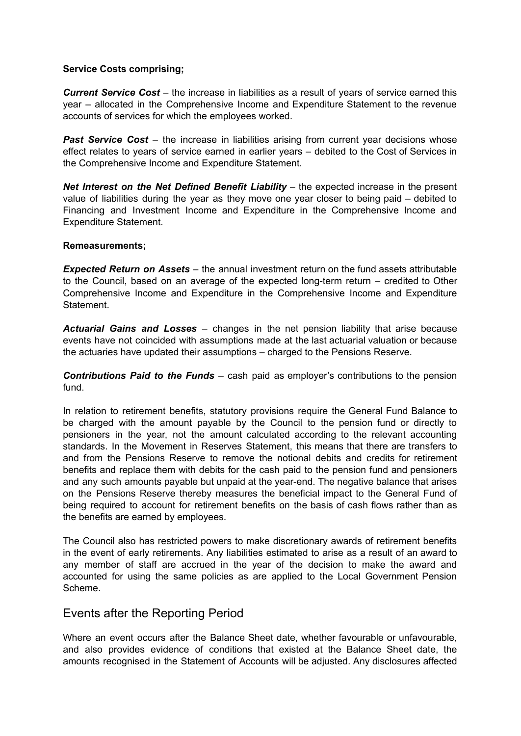#### **Service Costs comprising;**

*Current Service Cost* – the increase in liabilities as a result of years of service earned this year – allocated in the Comprehensive Income and Expenditure Statement to the revenue accounts of services for which the employees worked.

*Past Service Cost* – the increase in liabilities arising from current year decisions whose effect relates to years of service earned in earlier years – debited to the Cost of Services in the Comprehensive Income and Expenditure Statement.

*Net Interest on the Net Defined Benefit Liability* – the expected increase in the present value of liabilities during the year as they move one year closer to being paid – debited to Financing and Investment Income and Expenditure in the Comprehensive Income and Expenditure Statement.

#### **Remeasurements;**

*Expected Return on Assets* – the annual investment return on the fund assets attributable to the Council, based on an average of the expected long-term return – credited to Other Comprehensive Income and Expenditure in the Comprehensive Income and Expenditure **Statement** 

*Actuarial Gains and Losses* – changes in the net pension liability that arise because events have not coincided with assumptions made at the last actuarial valuation or because the actuaries have updated their assumptions – charged to the Pensions Reserve.

*Contributions Paid to the Funds* – cash paid as employer's contributions to the pension fund.

In relation to retirement benefits, statutory provisions require the General Fund Balance to be charged with the amount payable by the Council to the pension fund or directly to pensioners in the year, not the amount calculated according to the relevant accounting standards. In the Movement in Reserves Statement, this means that there are transfers to and from the Pensions Reserve to remove the notional debits and credits for retirement benefits and replace them with debits for the cash paid to the pension fund and pensioners and any such amounts payable but unpaid at the year-end. The negative balance that arises on the Pensions Reserve thereby measures the beneficial impact to the General Fund of being required to account for retirement benefits on the basis of cash flows rather than as the benefits are earned by employees.

The Council also has restricted powers to make discretionary awards of retirement benefits in the event of early retirements. Any liabilities estimated to arise as a result of an award to any member of staff are accrued in the year of the decision to make the award and accounted for using the same policies as are applied to the Local Government Pension Scheme.

### Events after the Reporting Period

Where an event occurs after the Balance Sheet date, whether favourable or unfavourable. and also provides evidence of conditions that existed at the Balance Sheet date, the amounts recognised in the Statement of Accounts will be adjusted. Any disclosures affected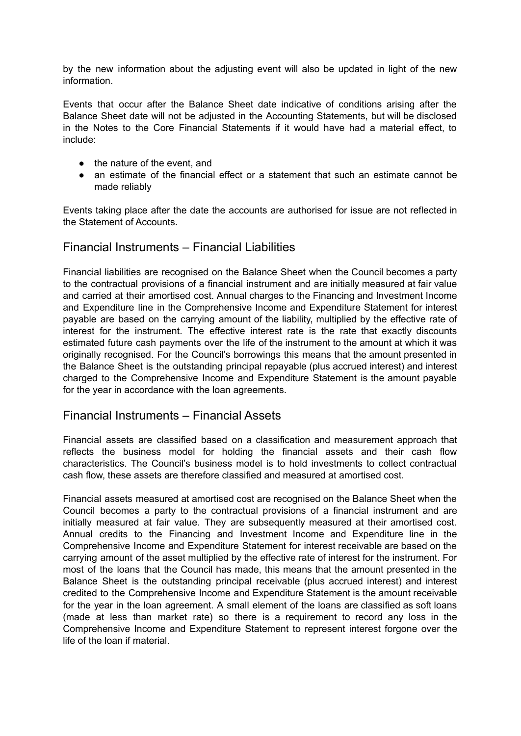by the new information about the adjusting event will also be updated in light of the new information.

Events that occur after the Balance Sheet date indicative of conditions arising after the Balance Sheet date will not be adjusted in the Accounting Statements, but will be disclosed in the Notes to the Core Financial Statements if it would have had a material effect, to include:

- the nature of the event, and
- an estimate of the financial effect or a statement that such an estimate cannot be made reliably

Events taking place after the date the accounts are authorised for issue are not reflected in the Statement of Accounts.

### Financial Instruments – Financial Liabilities

Financial liabilities are recognised on the Balance Sheet when the Council becomes a party to the contractual provisions of a financial instrument and are initially measured at fair value and carried at their amortised cost. Annual charges to the Financing and Investment Income and Expenditure line in the Comprehensive Income and Expenditure Statement for interest payable are based on the carrying amount of the liability, multiplied by the effective rate of interest for the instrument. The effective interest rate is the rate that exactly discounts estimated future cash payments over the life of the instrument to the amount at which it was originally recognised. For the Council's borrowings this means that the amount presented in the Balance Sheet is the outstanding principal repayable (plus accrued interest) and interest charged to the Comprehensive Income and Expenditure Statement is the amount payable for the year in accordance with the loan agreements.

## Financial Instruments – Financial Assets

Financial assets are classified based on a classification and measurement approach that reflects the business model for holding the financial assets and their cash flow characteristics. The Council's business model is to hold investments to collect contractual cash flow, these assets are therefore classified and measured at amortised cost.

Financial assets measured at amortised cost are recognised on the Balance Sheet when the Council becomes a party to the contractual provisions of a financial instrument and are initially measured at fair value. They are subsequently measured at their amortised cost. Annual credits to the Financing and Investment Income and Expenditure line in the Comprehensive Income and Expenditure Statement for interest receivable are based on the carrying amount of the asset multiplied by the effective rate of interest for the instrument. For most of the loans that the Council has made, this means that the amount presented in the Balance Sheet is the outstanding principal receivable (plus accrued interest) and interest credited to the Comprehensive Income and Expenditure Statement is the amount receivable for the year in the loan agreement. A small element of the loans are classified as soft loans (made at less than market rate) so there is a requirement to record any loss in the Comprehensive Income and Expenditure Statement to represent interest forgone over the life of the loan if material.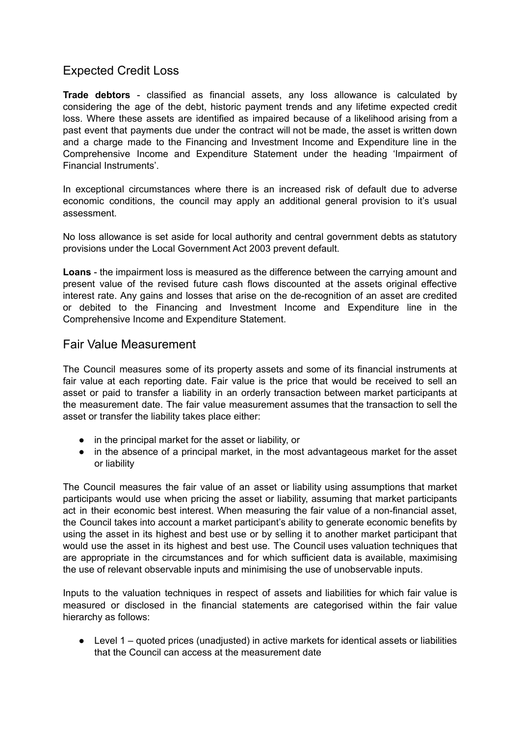## Expected Credit Loss

**Trade debtors** - classified as financial assets, any loss allowance is calculated by considering the age of the debt, historic payment trends and any lifetime expected credit loss. Where these assets are identified as impaired because of a likelihood arising from a past event that payments due under the contract will not be made, the asset is written down and a charge made to the Financing and Investment Income and Expenditure line in the Comprehensive Income and Expenditure Statement under the heading 'Impairment of Financial Instruments'.

In exceptional circumstances where there is an increased risk of default due to adverse economic conditions, the council may apply an additional general provision to it's usual assessment.

No loss allowance is set aside for local authority and central government debts as statutory provisions under the Local Government Act 2003 prevent default.

**Loans** - the impairment loss is measured as the difference between the carrying amount and present value of the revised future cash flows discounted at the assets original effective interest rate. Any gains and losses that arise on the de-recognition of an asset are credited or debited to the Financing and Investment Income and Expenditure line in the Comprehensive Income and Expenditure Statement.

### Fair Value Measurement

The Council measures some of its property assets and some of its financial instruments at fair value at each reporting date. Fair value is the price that would be received to sell an asset or paid to transfer a liability in an orderly transaction between market participants at the measurement date. The fair value measurement assumes that the transaction to sell the asset or transfer the liability takes place either:

- in the principal market for the asset or liability, or
- in the absence of a principal market, in the most advantageous market for the asset or liability

The Council measures the fair value of an asset or liability using assumptions that market participants would use when pricing the asset or liability, assuming that market participants act in their economic best interest. When measuring the fair value of a non-financial asset, the Council takes into account a market participant's ability to generate economic benefits by using the asset in its highest and best use or by selling it to another market participant that would use the asset in its highest and best use. The Council uses valuation techniques that are appropriate in the circumstances and for which sufficient data is available, maximising the use of relevant observable inputs and minimising the use of unobservable inputs.

Inputs to the valuation techniques in respect of assets and liabilities for which fair value is measured or disclosed in the financial statements are categorised within the fair value hierarchy as follows:

● Level 1 – quoted prices (unadiusted) in active markets for identical assets or liabilities that the Council can access at the measurement date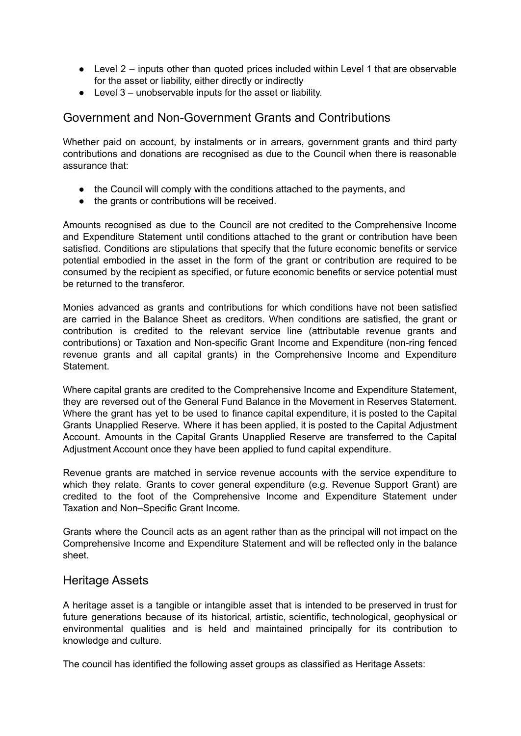- $\bullet$  Level 2 inputs other than quoted prices included within Level 1 that are observable for the asset or liability, either directly or indirectly
- Level 3 unobservable inputs for the asset or liability.

### Government and Non-Government Grants and Contributions

Whether paid on account, by instalments or in arrears, government grants and third party contributions and donations are recognised as due to the Council when there is reasonable assurance that:

- the Council will comply with the conditions attached to the payments, and
- the grants or contributions will be received.

Amounts recognised as due to the Council are not credited to the Comprehensive Income and Expenditure Statement until conditions attached to the grant or contribution have been satisfied. Conditions are stipulations that specify that the future economic benefits or service potential embodied in the asset in the form of the grant or contribution are required to be consumed by the recipient as specified, or future economic benefits or service potential must be returned to the transferor.

Monies advanced as grants and contributions for which conditions have not been satisfied are carried in the Balance Sheet as creditors. When conditions are satisfied, the grant or contribution is credited to the relevant service line (attributable revenue grants and contributions) or Taxation and Non-specific Grant Income and Expenditure (non-ring fenced revenue grants and all capital grants) in the Comprehensive Income and Expenditure **Statement** 

Where capital grants are credited to the Comprehensive Income and Expenditure Statement, they are reversed out of the General Fund Balance in the Movement in Reserves Statement. Where the grant has yet to be used to finance capital expenditure, it is posted to the Capital Grants Unapplied Reserve. Where it has been applied, it is posted to the Capital Adjustment Account. Amounts in the Capital Grants Unapplied Reserve are transferred to the Capital Adjustment Account once they have been applied to fund capital expenditure.

Revenue grants are matched in service revenue accounts with the service expenditure to which they relate. Grants to cover general expenditure (e.g. Revenue Support Grant) are credited to the foot of the Comprehensive Income and Expenditure Statement under Taxation and Non–Specific Grant Income.

Grants where the Council acts as an agent rather than as the principal will not impact on the Comprehensive Income and Expenditure Statement and will be reflected only in the balance sheet.

#### Heritage Assets

A heritage asset is a tangible or intangible asset that is intended to be preserved in trust for future generations because of its historical, artistic, scientific, technological, geophysical or environmental qualities and is held and maintained principally for its contribution to knowledge and culture.

The council has identified the following asset groups as classified as Heritage Assets: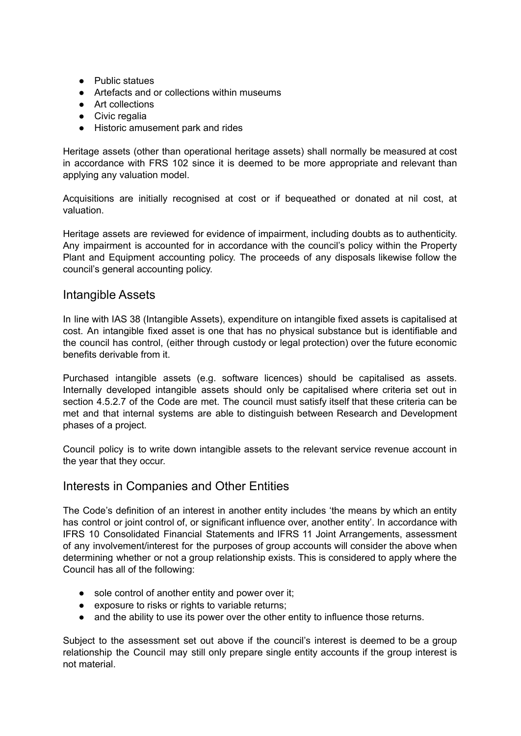- Public statues
- Artefacts and or collections within museums
- Art collections
- Civic regalia
- Historic amusement park and rides

Heritage assets (other than operational heritage assets) shall normally be measured at cost in accordance with FRS 102 since it is deemed to be more appropriate and relevant than applying any valuation model.

Acquisitions are initially recognised at cost or if bequeathed or donated at nil cost, at valuation.

Heritage assets are reviewed for evidence of impairment, including doubts as to authenticity. Any impairment is accounted for in accordance with the council's policy within the Property Plant and Equipment accounting policy. The proceeds of any disposals likewise follow the council's general accounting policy.

### Intangible Assets

In line with IAS 38 (Intangible Assets), expenditure on intangible fixed assets is capitalised at cost. An intangible fixed asset is one that has no physical substance but is identifiable and the council has control, (either through custody or legal protection) over the future economic benefits derivable from it.

Purchased intangible assets (e.g. software licences) should be capitalised as assets. Internally developed intangible assets should only be capitalised where criteria set out in section 4.5.2.7 of the Code are met. The council must satisfy itself that these criteria can be met and that internal systems are able to distinguish between Research and Development phases of a project.

Council policy is to write down intangible assets to the relevant service revenue account in the year that they occur.

### Interests in Companies and Other Entities

The Code's definition of an interest in another entity includes 'the means by which an entity has control or joint control of, or significant influence over, another entity'. In accordance with IFRS 10 Consolidated Financial Statements and IFRS 11 Joint Arrangements, assessment of any involvement/interest for the purposes of group accounts will consider the above when determining whether or not a group relationship exists. This is considered to apply where the Council has all of the following:

- sole control of another entity and power over it:
- exposure to risks or rights to variable returns;
- and the ability to use its power over the other entity to influence those returns.

Subject to the assessment set out above if the council's interest is deemed to be a group relationship the Council may still only prepare single entity accounts if the group interest is not material.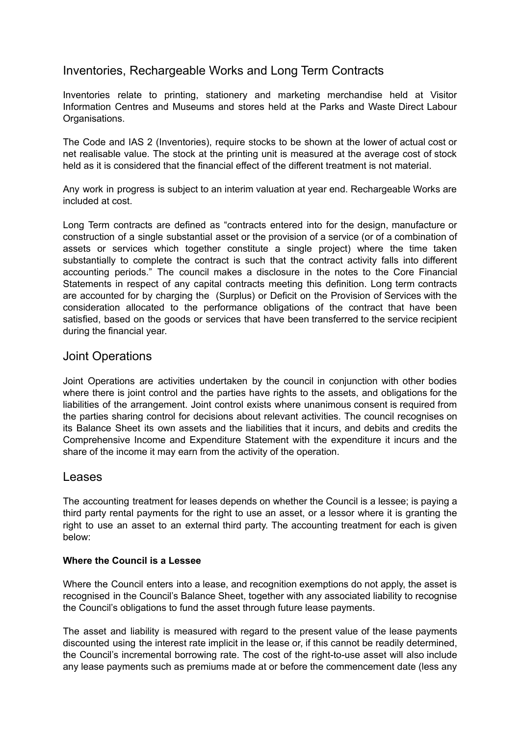## Inventories, Rechargeable Works and Long Term Contracts

Inventories relate to printing, stationery and marketing merchandise held at Visitor Information Centres and Museums and stores held at the Parks and Waste Direct Labour Organisations.

The Code and IAS 2 (Inventories), require stocks to be shown at the lower of actual cost or net realisable value. The stock at the printing unit is measured at the average cost of stock held as it is considered that the financial effect of the different treatment is not material.

Any work in progress is subject to an interim valuation at year end. Rechargeable Works are included at cost.

Long Term contracts are defined as "contracts entered into for the design, manufacture or construction of a single substantial asset or the provision of a service (or of a combination of assets or services which together constitute a single project) where the time taken substantially to complete the contract is such that the contract activity falls into different accounting periods." The council makes a disclosure in the notes to the Core Financial Statements in respect of any capital contracts meeting this definition. Long term contracts are accounted for by charging the (Surplus) or Deficit on the Provision of Services with the consideration allocated to the performance obligations of the contract that have been satisfied, based on the goods or services that have been transferred to the service recipient during the financial year.

### Joint Operations

Joint Operations are activities undertaken by the council in conjunction with other bodies where there is joint control and the parties have rights to the assets, and obligations for the liabilities of the arrangement. Joint control exists where unanimous consent is required from the parties sharing control for decisions about relevant activities. The council recognises on its Balance Sheet its own assets and the liabilities that it incurs, and debits and credits the Comprehensive Income and Expenditure Statement with the expenditure it incurs and the share of the income it may earn from the activity of the operation.

### Leases

The accounting treatment for leases depends on whether the Council is a lessee; is paying a third party rental payments for the right to use an asset, or a lessor where it is granting the right to use an asset to an external third party. The accounting treatment for each is given below:

#### **Where the Council is a Lessee**

Where the Council enters into a lease, and recognition exemptions do not apply, the asset is recognised in the Council's Balance Sheet, together with any associated liability to recognise the Council's obligations to fund the asset through future lease payments.

The asset and liability is measured with regard to the present value of the lease payments discounted using the interest rate implicit in the lease or, if this cannot be readily determined, the Council's incremental borrowing rate. The cost of the right-to-use asset will also include any lease payments such as premiums made at or before the commencement date (less any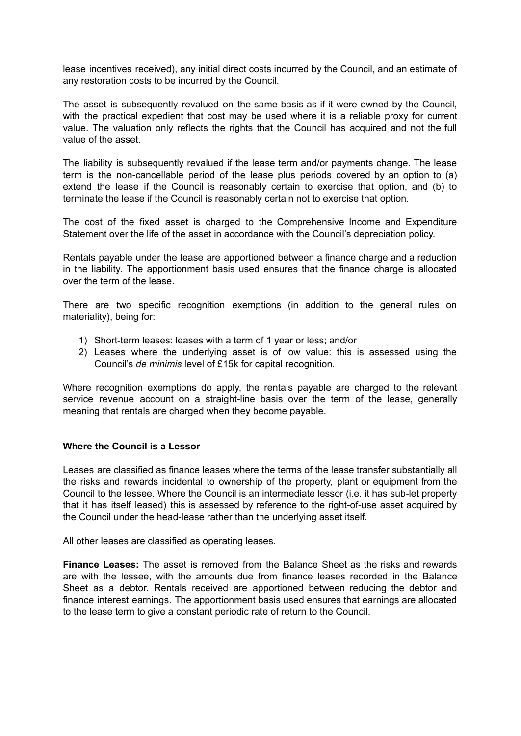lease incentives received), any initial direct costs incurred by the Council, and an estimate of any restoration costs to be incurred by the Council.

The asset is subsequently revalued on the same basis as if it were owned by the Council, with the practical expedient that cost may be used where it is a reliable proxy for current value. The valuation only reflects the rights that the Council has acquired and not the full value of the asset.

The liability is subsequently revalued if the lease term and/or payments change. The lease term is the non-cancellable period of the lease plus periods covered by an option to (a) extend the lease if the Council is reasonably certain to exercise that option, and (b) to terminate the lease if the Council is reasonably certain not to exercise that option.

The cost of the fixed asset is charged to the Comprehensive Income and Expenditure Statement over the life of the asset in accordance with the Council's depreciation policy.

Rentals payable under the lease are apportioned between a finance charge and a reduction in the liability. The apportionment basis used ensures that the finance charge is allocated over the term of the lease.

There are two specific recognition exemptions (in addition to the general rules on materiality), being for:

- 1) Short-term leases: leases with a term of 1 year or less; and/or
- 2) Leases where the underlying asset is of low value: this is assessed using the Council's *de minimis* level of £15k for capital recognition.

Where recognition exemptions do apply, the rentals payable are charged to the relevant service revenue account on a straight-line basis over the term of the lease, generally meaning that rentals are charged when they become payable.

#### **Where the Council is a Lessor**

Leases are classified as finance leases where the terms of the lease transfer substantially all the risks and rewards incidental to ownership of the property, plant or equipment from the Council to the lessee. Where the Council is an intermediate lessor (i.e. it has sub-let property that it has itself leased) this is assessed by reference to the right-of-use asset acquired by the Council under the head-lease rather than the underlying asset itself.

All other leases are classified as operating leases.

**Finance Leases:** The asset is removed from the Balance Sheet as the risks and rewards are with the lessee, with the amounts due from finance leases recorded in the Balance Sheet as a debtor. Rentals received are apportioned between reducing the debtor and finance interest earnings. The apportionment basis used ensures that earnings are allocated to the lease term to give a constant periodic rate of return to the Council.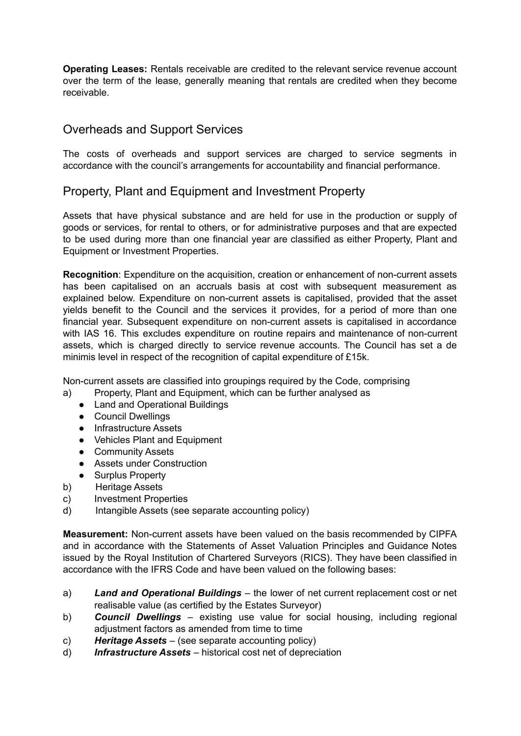**Operating Leases:** Rentals receivable are credited to the relevant service revenue account over the term of the lease, generally meaning that rentals are credited when they become receivable.

## Overheads and Support Services

The costs of overheads and support services are charged to service segments in accordance with the council's arrangements for accountability and financial performance.

## Property, Plant and Equipment and Investment Property

Assets that have physical substance and are held for use in the production or supply of goods or services, for rental to others, or for administrative purposes and that are expected to be used during more than one financial year are classified as either Property, Plant and Equipment or Investment Properties.

**Recognition**: Expenditure on the acquisition, creation or enhancement of non-current assets has been capitalised on an accruals basis at cost with subsequent measurement as explained below. Expenditure on non-current assets is capitalised, provided that the asset yields benefit to the Council and the services it provides, for a period of more than one financial year. Subsequent expenditure on non-current assets is capitalised in accordance with IAS 16. This excludes expenditure on routine repairs and maintenance of non-current assets, which is charged directly to service revenue accounts. The Council has set a de minimis level in respect of the recognition of capital expenditure of £15k.

Non-current assets are classified into groupings required by the Code, comprising

- a) Property, Plant and Equipment, which can be further analysed as
	- Land and Operational Buildings
	- Council Dwellings
	- Infrastructure Assets
	- Vehicles Plant and Equipment
	- Community Assets
	- Assets under Construction
	- Surplus Property
- b) Heritage Assets
- c) Investment Properties
- d) Intangible Assets (see separate accounting policy)

**Measurement:** Non-current assets have been valued on the basis recommended by CIPFA and in accordance with the Statements of Asset Valuation Principles and Guidance Notes issued by the Royal Institution of Chartered Surveyors (RICS). They have been classified in accordance with the IFRS Code and have been valued on the following bases:

- a) *Land and Operational Buildings* the lower of net current replacement cost or net realisable value (as certified by the Estates Surveyor)
- b) *Council Dwellings* existing use value for social housing, including regional adjustment factors as amended from time to time
- c) *Heritage Assets* (see separate accounting policy)
- d) *Infrastructure Assets* historical cost net of depreciation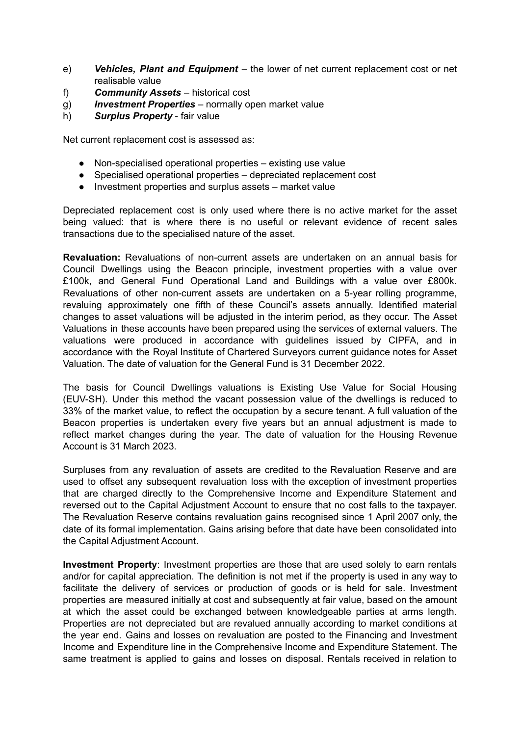- e) *Vehicles, Plant and Equipment* the lower of net current replacement cost or net realisable value
- f) *Community Assets* historical cost
- g) *Investment Properties* normally open market value
- h) *Surplus Property* fair value

Net current replacement cost is assessed as:

- Non-specialised operational properties existing use value
- Specialised operational properties depreciated replacement cost
- Investment properties and surplus assets market value

Depreciated replacement cost is only used where there is no active market for the asset being valued: that is where there is no useful or relevant evidence of recent sales transactions due to the specialised nature of the asset.

**Revaluation:** Revaluations of non-current assets are undertaken on an annual basis for Council Dwellings using the Beacon principle, investment properties with a value over £100k, and General Fund Operational Land and Buildings with a value over £800k. Revaluations of other non-current assets are undertaken on a 5-year rolling programme, revaluing approximately one fifth of these Council's assets annually. Identified material changes to asset valuations will be adjusted in the interim period, as they occur. The Asset Valuations in these accounts have been prepared using the services of external valuers. The valuations were produced in accordance with guidelines issued by CIPFA, and in accordance with the Royal Institute of Chartered Surveyors current guidance notes for Asset Valuation. The date of valuation for the General Fund is 31 December 2022.

The basis for Council Dwellings valuations is Existing Use Value for Social Housing (EUV-SH). Under this method the vacant possession value of the dwellings is reduced to 33% of the market value, to reflect the occupation by a secure tenant. A full valuation of the Beacon properties is undertaken every five years but an annual adjustment is made to reflect market changes during the year. The date of valuation for the Housing Revenue Account is 31 March 2023.

Surpluses from any revaluation of assets are credited to the Revaluation Reserve and are used to offset any subsequent revaluation loss with the exception of investment properties that are charged directly to the Comprehensive Income and Expenditure Statement and reversed out to the Capital Adjustment Account to ensure that no cost falls to the taxpayer. The Revaluation Reserve contains revaluation gains recognised since 1 April 2007 only, the date of its formal implementation. Gains arising before that date have been consolidated into the Capital Adjustment Account.

**Investment Property**: Investment properties are those that are used solely to earn rentals and/or for capital appreciation. The definition is not met if the property is used in any way to facilitate the delivery of services or production of goods or is held for sale. Investment properties are measured initially at cost and subsequently at fair value, based on the amount at which the asset could be exchanged between knowledgeable parties at arms length. Properties are not depreciated but are revalued annually according to market conditions at the year end. Gains and losses on revaluation are posted to the Financing and Investment Income and Expenditure line in the Comprehensive Income and Expenditure Statement. The same treatment is applied to gains and losses on disposal. Rentals received in relation to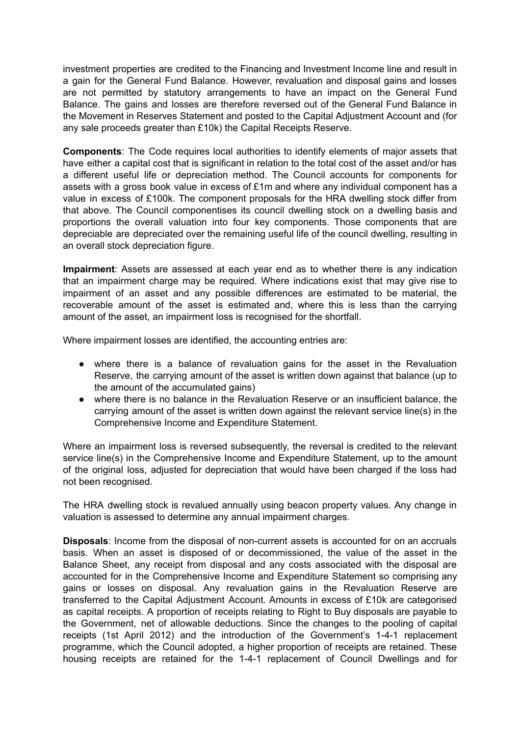investment properties are credited to the Financing and Investment Income line and result in a gain for the General Fund Balance. However, revaluation and disposal gains and losses are not permitted by statutory arrangements to have an impact on the General Fund Balance. The gains and losses are therefore reversed out of the General Fund Balance in the Movement in Reserves Statement and posted to the Capital Adjustment Account and (for any sale proceeds greater than £10k) the Capital Receipts Reserve.

**Components**: The Code requires local authorities to identify elements of major assets that have either a capital cost that is significant in relation to the total cost of the asset and/or has a different useful life or depreciation method. The Council accounts for components for assets with a gross book value in excess of £1m and where any individual component has a value in excess of £100k. The component proposals for the HRA dwelling stock differ from that above. The Council componentises its council dwelling stock on a dwelling basis and proportions the overall valuation into four key components. Those components that are depreciable are depreciated over the remaining useful life of the council dwelling, resulting in an overall stock depreciation figure.

**Impairment**: Assets are assessed at each year end as to whether there is any indication that an impairment charge may be required. Where indications exist that may give rise to impairment of an asset and any possible differences are estimated to be material, the recoverable amount of the asset is estimated and, where this is less than the carrying amount of the asset, an impairment loss is recognised for the shortfall.

Where impairment losses are identified, the accounting entries are:

- where there is a balance of revaluation gains for the asset in the Revaluation Reserve, the carrying amount of the asset is written down against that balance (up to the amount of the accumulated gains)
- where there is no balance in the Revaluation Reserve or an insufficient balance, the carrying amount of the asset is written down against the relevant service line(s) in the Comprehensive Income and Expenditure Statement.

Where an impairment loss is reversed subsequently, the reversal is credited to the relevant service line(s) in the Comprehensive Income and Expenditure Statement, up to the amount of the original loss, adjusted for depreciation that would have been charged if the loss had not been recognised.

The HRA dwelling stock is revalued annually using beacon property values. Any change in valuation is assessed to determine any annual impairment charges.

**Disposals**: Income from the disposal of non-current assets is accounted for on an accruals basis. When an asset is disposed of or decommissioned, the value of the asset in the Balance Sheet, any receipt from disposal and any costs associated with the disposal are accounted for in the Comprehensive Income and Expenditure Statement so comprising any gains or losses on disposal. Any revaluation gains in the Revaluation Reserve are transferred to the Capital Adjustment Account. Amounts in excess of £10k are categorised as capital receipts. A proportion of receipts relating to Right to Buy disposals are payable to the Government, net of allowable deductions. Since the changes to the pooling of capital receipts (1st April 2012) and the introduction of the Government's 1-4-1 replacement programme, which the Council adopted, a higher proportion of receipts are retained. These housing receipts are retained for the 1-4-1 replacement of Council Dwellings and for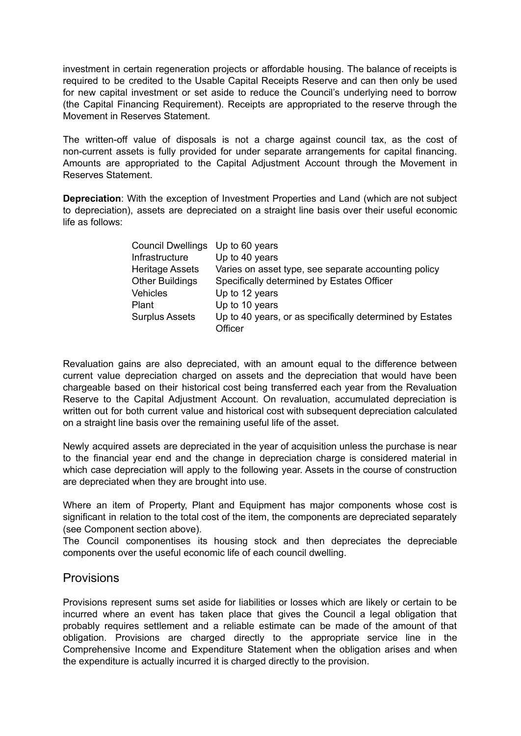investment in certain regeneration projects or affordable housing. The balance of receipts is required to be credited to the Usable Capital Receipts Reserve and can then only be used for new capital investment or set aside to reduce the Council's underlying need to borrow (the Capital Financing Requirement). Receipts are appropriated to the reserve through the Movement in Reserves Statement.

The written-off value of disposals is not a charge against council tax, as the cost of non-current assets is fully provided for under separate arrangements for capital financing. Amounts are appropriated to the Capital Adjustment Account through the Movement in Reserves Statement.

**Depreciation**: With the exception of Investment Properties and Land (which are not subject to depreciation), assets are depreciated on a straight line basis over their useful economic life as follows:

| Council Dwellings      | Up to 60 years                                           |
|------------------------|----------------------------------------------------------|
| Infrastructure         | Up to 40 years                                           |
| Heritage Assets        | Varies on asset type, see separate accounting policy     |
| <b>Other Buildings</b> | Specifically determined by Estates Officer               |
| Vehicles               | Up to 12 years                                           |
| Plant                  | Up to 10 years                                           |
| <b>Surplus Assets</b>  | Up to 40 years, or as specifically determined by Estates |
|                        | Officer                                                  |

Revaluation gains are also depreciated, with an amount equal to the difference between current value depreciation charged on assets and the depreciation that would have been chargeable based on their historical cost being transferred each year from the Revaluation Reserve to the Capital Adjustment Account. On revaluation, accumulated depreciation is written out for both current value and historical cost with subsequent depreciation calculated on a straight line basis over the remaining useful life of the asset.

Newly acquired assets are depreciated in the year of acquisition unless the purchase is near to the financial year end and the change in depreciation charge is considered material in which case depreciation will apply to the following year. Assets in the course of construction are depreciated when they are brought into use.

Where an item of Property, Plant and Equipment has major components whose cost is significant in relation to the total cost of the item, the components are depreciated separately (see Component section above).

The Council componentises its housing stock and then depreciates the depreciable components over the useful economic life of each council dwelling.

### Provisions

Provisions represent sums set aside for liabilities or losses which are likely or certain to be incurred where an event has taken place that gives the Council a legal obligation that probably requires settlement and a reliable estimate can be made of the amount of that obligation. Provisions are charged directly to the appropriate service line in the Comprehensive Income and Expenditure Statement when the obligation arises and when the expenditure is actually incurred it is charged directly to the provision.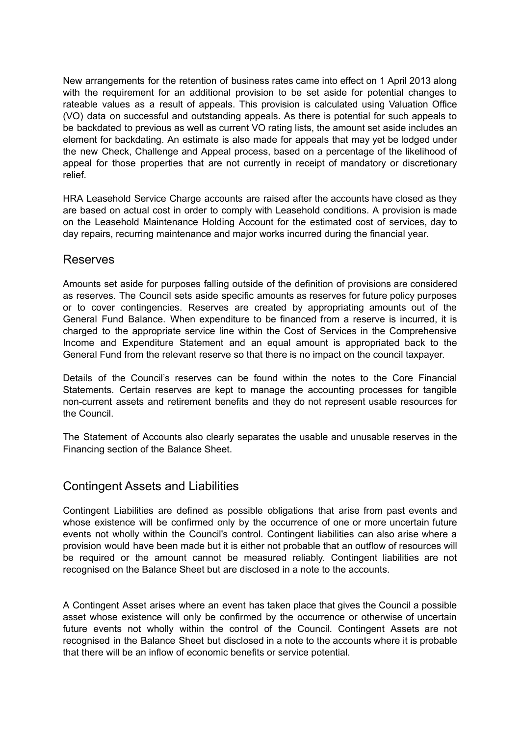New arrangements for the retention of business rates came into effect on 1 April 2013 along with the requirement for an additional provision to be set aside for potential changes to rateable values as a result of appeals. This provision is calculated using Valuation Office (VO) data on successful and outstanding appeals. As there is potential for such appeals to be backdated to previous as well as current VO rating lists, the amount set aside includes an element for backdating. An estimate is also made for appeals that may yet be lodged under the new Check, Challenge and Appeal process, based on a percentage of the likelihood of appeal for those properties that are not currently in receipt of mandatory or discretionary relief.

HRA Leasehold Service Charge accounts are raised after the accounts have closed as they are based on actual cost in order to comply with Leasehold conditions. A provision is made on the Leasehold Maintenance Holding Account for the estimated cost of services, day to day repairs, recurring maintenance and major works incurred during the financial year.

#### Reserves

Amounts set aside for purposes falling outside of the definition of provisions are considered as reserves. The Council sets aside specific amounts as reserves for future policy purposes or to cover contingencies. Reserves are created by appropriating amounts out of the General Fund Balance. When expenditure to be financed from a reserve is incurred, it is charged to the appropriate service line within the Cost of Services in the Comprehensive Income and Expenditure Statement and an equal amount is appropriated back to the General Fund from the relevant reserve so that there is no impact on the council taxpayer.

Details of the Council's reserves can be found within the notes to the Core Financial Statements. Certain reserves are kept to manage the accounting processes for tangible non-current assets and retirement benefits and they do not represent usable resources for the Council.

The Statement of Accounts also clearly separates the usable and unusable reserves in the Financing section of the Balance Sheet.

### Contingent Assets and Liabilities

Contingent Liabilities are defined as possible obligations that arise from past events and whose existence will be confirmed only by the occurrence of one or more uncertain future events not wholly within the Council's control. Contingent liabilities can also arise where a provision would have been made but it is either not probable that an outflow of resources will be required or the amount cannot be measured reliably. Contingent liabilities are not recognised on the Balance Sheet but are disclosed in a note to the accounts.

A Contingent Asset arises where an event has taken place that gives the Council a possible asset whose existence will only be confirmed by the occurrence or otherwise of uncertain future events not wholly within the control of the Council. Contingent Assets are not recognised in the Balance Sheet but disclosed in a note to the accounts where it is probable that there will be an inflow of economic benefits or service potential.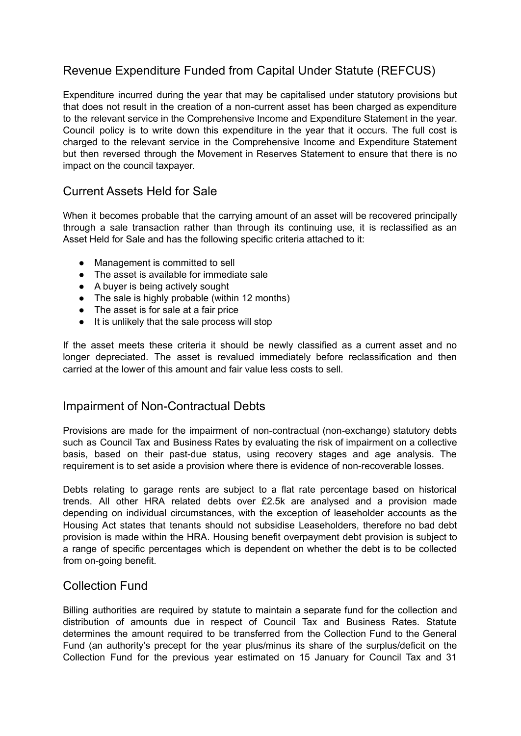## Revenue Expenditure Funded from Capital Under Statute (REFCUS)

Expenditure incurred during the year that may be capitalised under statutory provisions but that does not result in the creation of a non-current asset has been charged as expenditure to the relevant service in the Comprehensive Income and Expenditure Statement in the year. Council policy is to write down this expenditure in the year that it occurs. The full cost is charged to the relevant service in the Comprehensive Income and Expenditure Statement but then reversed through the Movement in Reserves Statement to ensure that there is no impact on the council taxpayer.

## Current Assets Held for Sale

When it becomes probable that the carrying amount of an asset will be recovered principally through a sale transaction rather than through its continuing use, it is reclassified as an Asset Held for Sale and has the following specific criteria attached to it:

- Management is committed to sell
- The asset is available for immediate sale
- A buyer is being actively sought
- The sale is highly probable (within 12 months)
- The asset is for sale at a fair price
- It is unlikely that the sale process will stop

If the asset meets these criteria it should be newly classified as a current asset and no longer depreciated. The asset is revalued immediately before reclassification and then carried at the lower of this amount and fair value less costs to sell.

### Impairment of Non-Contractual Debts

Provisions are made for the impairment of non-contractual (non-exchange) statutory debts such as Council Tax and Business Rates by evaluating the risk of impairment on a collective basis, based on their past-due status, using recovery stages and age analysis. The requirement is to set aside a provision where there is evidence of non-recoverable losses.

Debts relating to garage rents are subject to a flat rate percentage based on historical trends. All other HRA related debts over £2.5k are analysed and a provision made depending on individual circumstances, with the exception of leaseholder accounts as the Housing Act states that tenants should not subsidise Leaseholders, therefore no bad debt provision is made within the HRA. Housing benefit overpayment debt provision is subject to a range of specific percentages which is dependent on whether the debt is to be collected from on-going benefit.

### Collection Fund

Billing authorities are required by statute to maintain a separate fund for the collection and distribution of amounts due in respect of Council Tax and Business Rates. Statute determines the amount required to be transferred from the Collection Fund to the General Fund (an authority's precept for the year plus/minus its share of the surplus/deficit on the Collection Fund for the previous year estimated on 15 January for Council Tax and 31